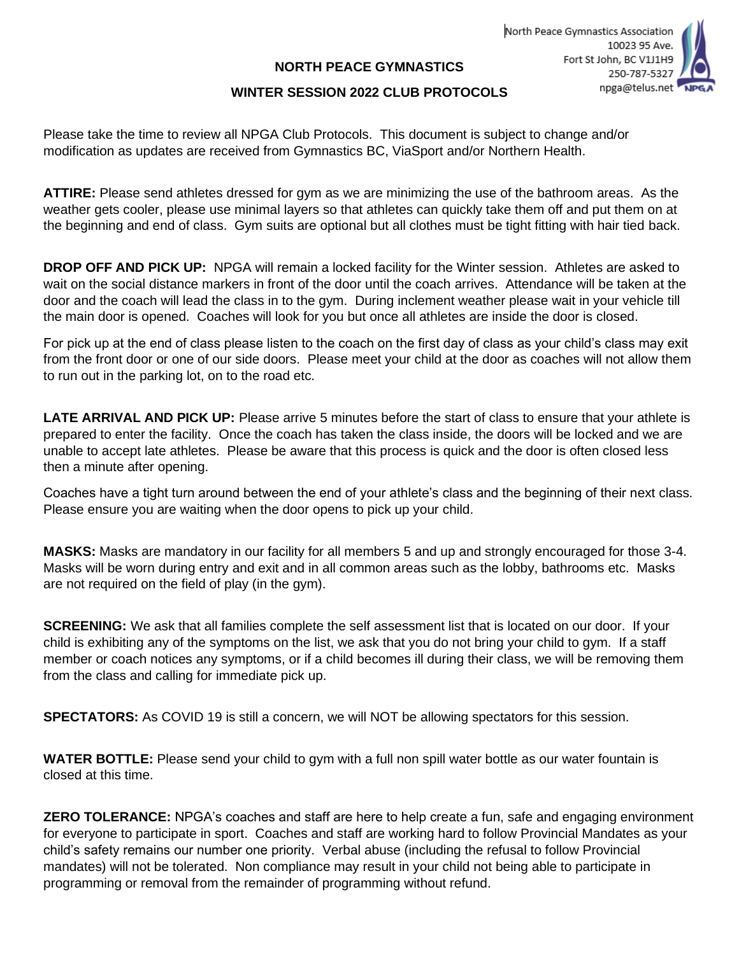## **NORTH PEACE GYMNASTICS**

## **WINTER SESSION 2022 CLUB PROTOCOLS**

Please take the time to review all NPGA Club Protocols. This document is subject to change and/or modification as updates are received from Gymnastics BC, ViaSport and/or Northern Health.

**ATTIRE:** Please send athletes dressed for gym as we are minimizing the use of the bathroom areas. As the weather gets cooler, please use minimal layers so that athletes can quickly take them off and put them on at the beginning and end of class. Gym suits are optional but all clothes must be tight fitting with hair tied back.

**DROP OFF AND PICK UP:** NPGA will remain a locked facility for the Winter session. Athletes are asked to wait on the social distance markers in front of the door until the coach arrives. Attendance will be taken at the door and the coach will lead the class in to the gym. During inclement weather please wait in your vehicle till the main door is opened. Coaches will look for you but once all athletes are inside the door is closed.

For pick up at the end of class please listen to the coach on the first day of class as your child's class may exit from the front door or one of our side doors. Please meet your child at the door as coaches will not allow them to run out in the parking lot, on to the road etc.

**LATE ARRIVAL AND PICK UP:** Please arrive 5 minutes before the start of class to ensure that your athlete is prepared to enter the facility. Once the coach has taken the class inside, the doors will be locked and we are unable to accept late athletes. Please be aware that this process is quick and the door is often closed less then a minute after opening.

Coaches have a tight turn around between the end of your athlete's class and the beginning of their next class. Please ensure you are waiting when the door opens to pick up your child.

**MASKS:** Masks are mandatory in our facility for all members 5 and up and strongly encouraged for those 3-4. Masks will be worn during entry and exit and in all common areas such as the lobby, bathrooms etc. Masks are not required on the field of play (in the gym).

**SCREENING:** We ask that all families complete the self assessment list that is located on our door. If your child is exhibiting any of the symptoms on the list, we ask that you do not bring your child to gym. If a staff member or coach notices any symptoms, or if a child becomes ill during their class, we will be removing them from the class and calling for immediate pick up.

**SPECTATORS:** As COVID 19 is still a concern, we will NOT be allowing spectators for this session.

**WATER BOTTLE:** Please send your child to gym with a full non spill water bottle as our water fountain is closed at this time.

**ZERO TOLERANCE:** NPGA's coaches and staff are here to help create a fun, safe and engaging environment for everyone to participate in sport. Coaches and staff are working hard to follow Provincial Mandates as your child's safety remains our number one priority. Verbal abuse (including the refusal to follow Provincial mandates) will not be tolerated. Non compliance may result in your child not being able to participate in programming or removal from the remainder of programming without refund.